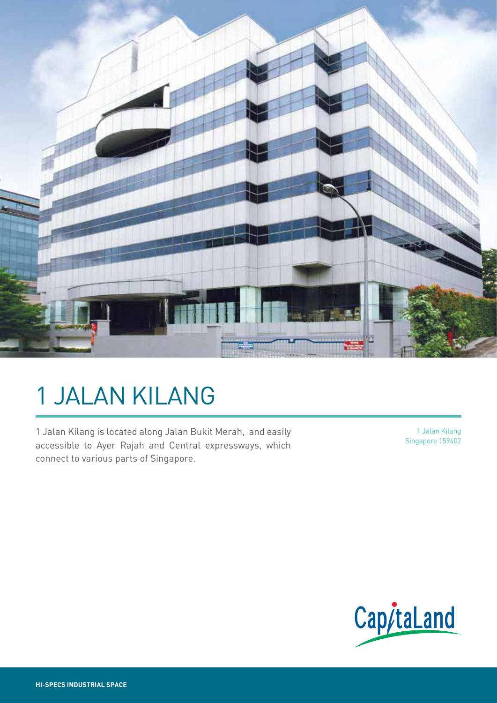

# 1 JALAN KILANG

1 Jalan Kilang is located along Jalan Bukit Merah, and easily accessible to Ayer Rajah and Central expressways, which connect to various parts of Singapore.

1 Jalan Kilang Singapore 159402